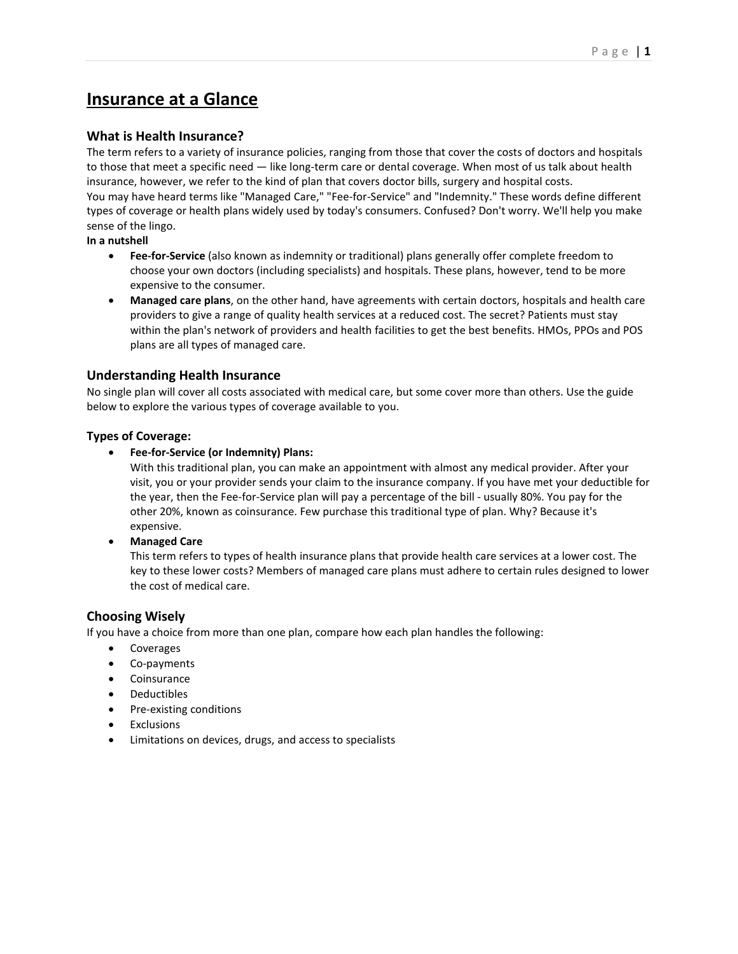# **Insurance at a Glance**

# **What is Health Insurance?**

The term refers to a variety of insurance policies, ranging from those that cover the costs of doctors and hospitals to those that meet a specific need — like long-term care or dental coverage. When most of us talk about health insurance, however, we refer to the kind of plan that covers doctor bills, surgery and hospital costs. You may have heard terms like "Managed Care," "Fee-for-Service" and "Indemnity." These words define different types of coverage or health plans widely used by today's consumers. Confused? Don't worry. We'll help you make sense of the lingo.

**In a nutshell**

- **Fee-for-Service** (also known as indemnity or traditional) plans generally offer complete freedom to choose your own doctors (including specialists) and hospitals. These plans, however, tend to be more expensive to the consumer.
- **Managed care plans**, on the other hand, have agreements with certain doctors, hospitals and health care providers to give a range of quality health services at a reduced cost. The secret? Patients must stay within the plan's network of providers and health facilities to get the best benefits. HMOs, PPOs and POS plans are all types of managed care.

# **Understanding Health Insurance**

No single plan will cover all costs associated with medical care, but some cover more than others. Use the guide below to explore the various types of coverage available to you.

### **Types of Coverage:**

• **Fee-for-Service (or Indemnity) Plans:**

With this traditional plan, you can make an appointment with almost any medical provider. After your visit, you or your provider sends your claim to the insurance company. If you have met your deductible for the year, then the Fee-for-Service plan will pay a percentage of the bill - usually 80%. You pay for the other 20%, known as coinsurance. Few purchase this traditional type of plan. Why? Because it's expensive.

• **Managed Care**

This term refers to types of health insurance plans that provide health care services at a lower cost. The key to these lower costs? Members of managed care plans must adhere to certain rules designed to lower the cost of medical care.

### **Choosing Wisely**

If you have a choice from more than one plan, compare how each plan handles the following:

- **Coverages**
- Co-payments
- Coinsurance
- Deductibles
- Pre-existing conditions
- **Exclusions**
- Limitations on devices, drugs, and access to specialists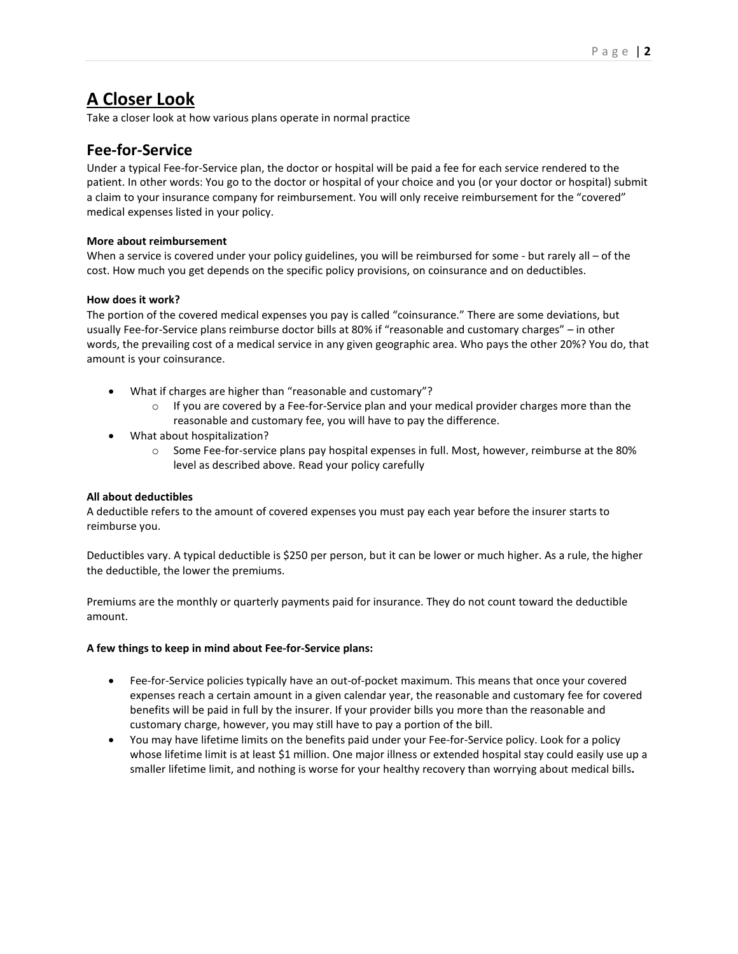# **A Closer Look**

Take a closer look at how various plans operate in normal practice

# **Fee-for-Service**

Under a typical Fee-for-Service plan, the doctor or hospital will be paid a fee for each service rendered to the patient. In other words: You go to the doctor or hospital of your choice and you (or your doctor or hospital) submit a claim to your insurance company for reimbursement. You will only receive reimbursement for the "covered" medical expenses listed in your policy.

### **More about reimbursement**

When a service is covered under your policy guidelines, you will be reimbursed for some - but rarely all – of the cost. How much you get depends on the specific policy provisions, on coinsurance and on deductibles.

#### **How does it work?**

The portion of the covered medical expenses you pay is called "coinsurance." There are some deviations, but usually Fee-for-Service plans reimburse doctor bills at 80% if "reasonable and customary charges" – in other words, the prevailing cost of a medical service in any given geographic area. Who pays the other 20%? You do, that amount is your coinsurance.

- What if charges are higher than "reasonable and customary"?
	- $\circ$  If you are covered by a Fee-for-Service plan and your medical provider charges more than the reasonable and customary fee, you will have to pay the difference.
- What about hospitalization?
	- o Some Fee-for-service plans pay hospital expenses in full. Most, however, reimburse at the 80% level as described above. Read your policy carefully

#### **All about deductibles**

A deductible refers to the amount of covered expenses you must pay each year before the insurer starts to reimburse you.

Deductibles vary. A typical deductible is \$250 per person, but it can be lower or much higher. As a rule, the higher the deductible, the lower the premiums.

Premiums are the monthly or quarterly payments paid for insurance. They do not count toward the deductible amount.

#### **A few things to keep in mind about Fee-for-Service plans:**

- Fee-for-Service policies typically have an out-of-pocket maximum. This means that once your covered expenses reach a certain amount in a given calendar year, the reasonable and customary fee for covered benefits will be paid in full by the insurer. If your provider bills you more than the reasonable and customary charge, however, you may still have to pay a portion of the bill.
- You may have lifetime limits on the benefits paid under your Fee-for-Service policy. Look for a policy whose lifetime limit is at least \$1 million. One major illness or extended hospital stay could easily use up a smaller lifetime limit, and nothing is worse for your healthy recovery than worrying about medical bills**.**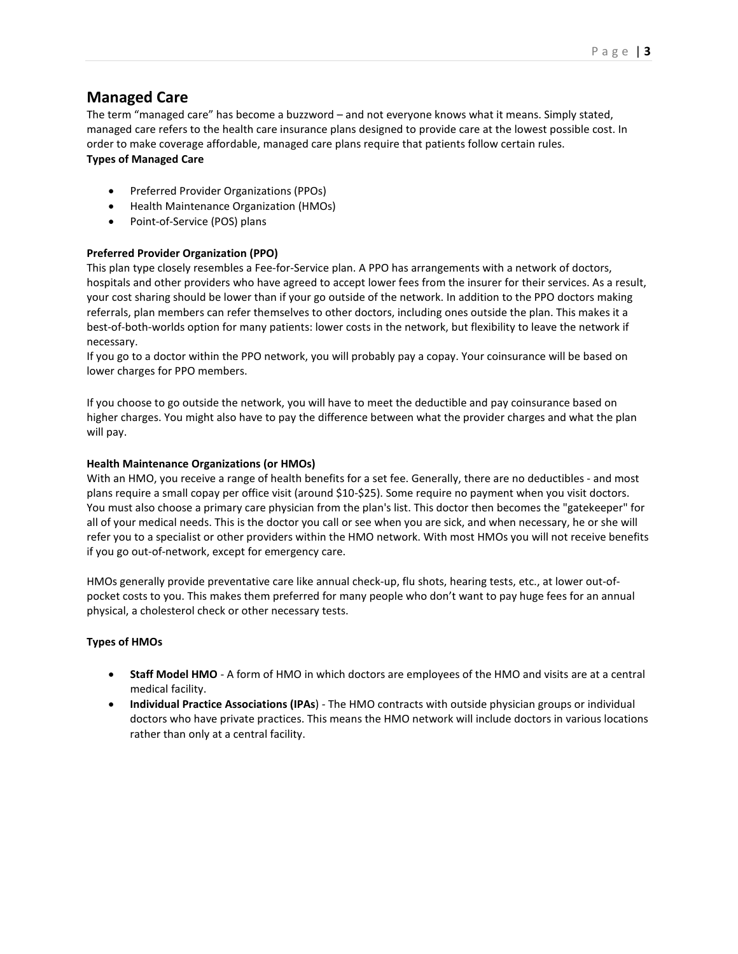# **Managed Care**

The term "managed care" has become a buzzword – and not everyone knows what it means. Simply stated, managed care refers to the health care insurance plans designed to provide care at the lowest possible cost. In order to make coverage affordable, managed care plans require that patients follow certain rules. **Types of Managed Care**

- Preferred Provider Organizations (PPOs)
- Health Maintenance Organization (HMOs)
- Point-of-Service (POS) plans

# **Preferred Provider Organization (PPO)**

This plan type closely resembles a Fee-for-Service plan. A PPO has arrangements with a network of doctors, hospitals and other providers who have agreed to accept lower fees from the insurer for their services. As a result, your cost sharing should be lower than if your go outside of the network. In addition to the PPO doctors making referrals, plan members can refer themselves to other doctors, including ones outside the plan. This makes it a best-of-both-worlds option for many patients: lower costs in the network, but flexibility to leave the network if necessary.

If you go to a doctor within the PPO network, you will probably pay a copay. Your coinsurance will be based on lower charges for PPO members.

If you choose to go outside the network, you will have to meet the deductible and pay coinsurance based on higher charges. You might also have to pay the difference between what the provider charges and what the plan will pay.

### **Health Maintenance Organizations (or HMOs)**

With an HMO, you receive a range of health benefits for a set fee. Generally, there are no deductibles - and most plans require a small copay per office visit (around \$10-\$25). Some require no payment when you visit doctors. You must also choose a primary care physician from the plan's list. This doctor then becomes the "gatekeeper" for all of your medical needs. This is the doctor you call or see when you are sick, and when necessary, he or she will refer you to a specialist or other providers within the HMO network. With most HMOs you will not receive benefits if you go out-of-network, except for emergency care.

HMOs generally provide preventative care like annual check-up, flu shots, hearing tests, etc., at lower out-ofpocket costs to you. This makes them preferred for many people who don't want to pay huge fees for an annual physical, a cholesterol check or other necessary tests.

### **Types of HMOs**

- **Staff Model HMO** A form of HMO in which doctors are employees of the HMO and visits are at a central medical facility.
- **Individual Practice Associations (IPAs**) The HMO contracts with outside physician groups or individual doctors who have private practices. This means the HMO network will include doctors in various locations rather than only at a central facility.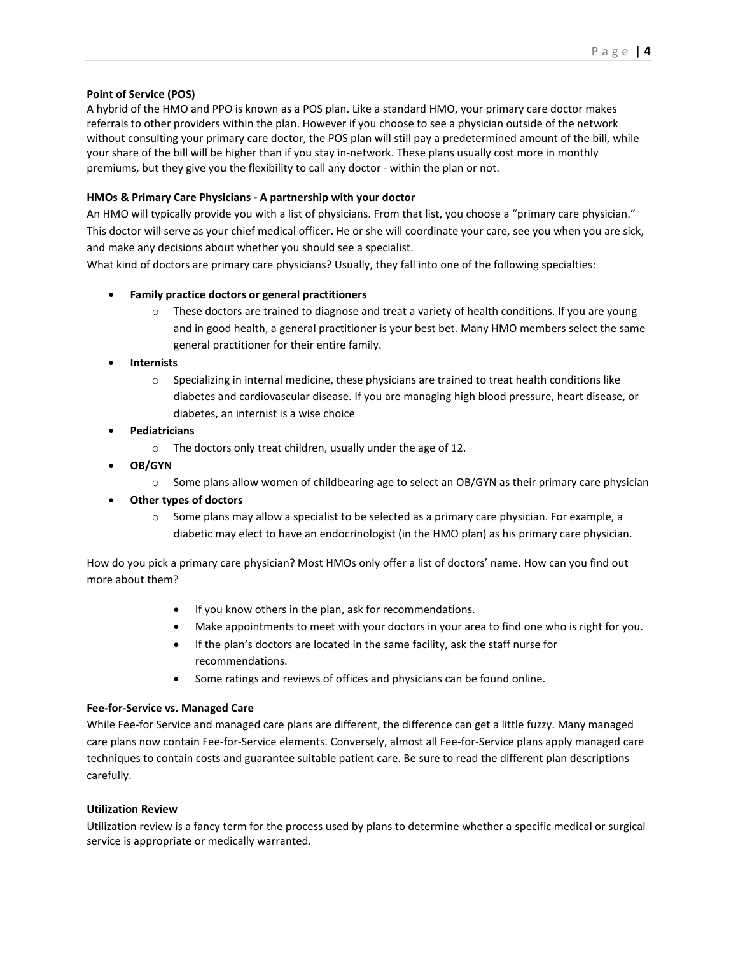#### **Point of Service (POS)**

A hybrid of the HMO and PPO is known as a POS plan. Like a standard HMO, your primary care doctor makes referrals to other providers within the plan. However if you choose to see a physician outside of the network without consulting your primary care doctor, the POS plan will still pay a predetermined amount of the bill, while your share of the bill will be higher than if you stay in-network. These plans usually cost more in monthly premiums, but they give you the flexibility to call any doctor - within the plan or not.

### **HMOs & Primary Care Physicians - A partnership with your doctor**

An HMO will typically provide you with a list of physicians. From that list, you choose a "primary care physician." This doctor will serve as your chief medical officer. He or she will coordinate your care, see you when you are sick, and make any decisions about whether you should see a specialist.

What kind of doctors are primary care physicians? Usually, they fall into one of the following specialties:

# • **Family practice doctors or general practitioners**

o These doctors are trained to diagnose and treat a variety of health conditions. If you are young and in good health, a general practitioner is your best bet. Many HMO members select the same general practitioner for their entire family.

### • **Internists**

- $\circ$  Specializing in internal medicine, these physicians are trained to treat health conditions like diabetes and cardiovascular disease. If you are managing high blood pressure, heart disease, or diabetes, an internist is a wise choice
- **Pediatricians**
	- o The doctors only treat children, usually under the age of 12.
- **OB/GYN**
	- $\circ$  Some plans allow women of childbearing age to select an OB/GYN as their primary care physician
- **Other types of doctors**
	- $\circ$  Some plans may allow a specialist to be selected as a primary care physician. For example, a diabetic may elect to have an endocrinologist (in the HMO plan) as his primary care physician.

How do you pick a primary care physician? Most HMOs only offer a list of doctors' name. How can you find out more about them?

- If you know others in the plan, ask for recommendations.
- Make appointments to meet with your doctors in your area to find one who is right for you.
- If the plan's doctors are located in the same facility, ask the staff nurse for recommendations.
- Some ratings and reviews of offices and physicians can be found online.

### **Fee-for-Service vs. Managed Care**

While Fee-for Service and managed care plans are different, the difference can get a little fuzzy. Many managed care plans now contain Fee-for-Service elements. Conversely, almost all Fee-for-Service plans apply managed care techniques to contain costs and guarantee suitable patient care. Be sure to read the different plan descriptions carefully.

### **Utilization Review**

Utilization review is a fancy term for the process used by plans to determine whether a specific medical or surgical service is appropriate or medically warranted.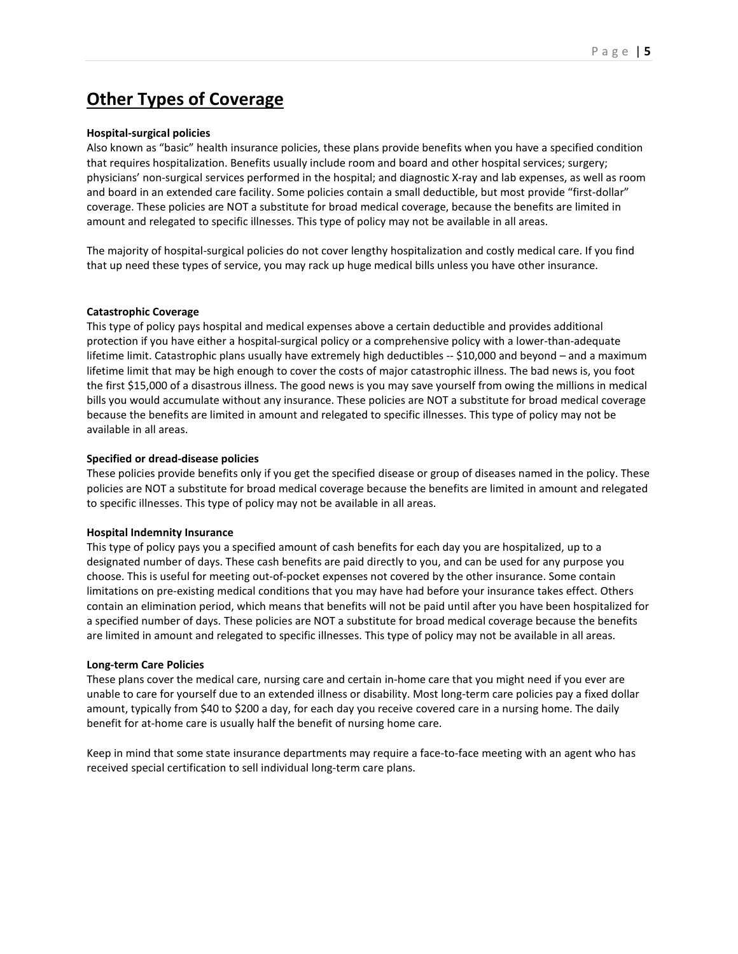# **Other Types of Coverage**

#### **Hospital-surgical policies**

Also known as "basic" health insurance policies, these plans provide benefits when you have a specified condition that requires hospitalization. Benefits usually include room and board and other hospital services; surgery; physicians' non-surgical services performed in the hospital; and diagnostic X-ray and lab expenses, as well as room and board in an extended care facility. Some policies contain a small deductible, but most provide "first-dollar" coverage. These policies are NOT a substitute for broad medical coverage, because the benefits are limited in amount and relegated to specific illnesses. This type of policy may not be available in all areas.

The majority of hospital-surgical policies do not cover lengthy hospitalization and costly medical care. If you find that up need these types of service, you may rack up huge medical bills unless you have other insurance.

#### **Catastrophic Coverage**

This type of policy pays hospital and medical expenses above a certain deductible and provides additional protection if you have either a hospital-surgical policy or a comprehensive policy with a lower-than-adequate lifetime limit. Catastrophic plans usually have extremely high deductibles -- \$10,000 and beyond - and a maximum lifetime limit that may be high enough to cover the costs of major catastrophic illness. The bad news is, you foot the first \$15,000 of a disastrous illness. The good news is you may save yourself from owing the millions in medical bills you would accumulate without any insurance. These policies are NOT a substitute for broad medical coverage because the benefits are limited in amount and relegated to specific illnesses. This type of policy may not be available in all areas.

#### **Specified or dread-disease policies**

These policies provide benefits only if you get the specified disease or group of diseases named in the policy. These policies are NOT a substitute for broad medical coverage because the benefits are limited in amount and relegated to specific illnesses. This type of policy may not be available in all areas.

### **Hospital Indemnity Insurance**

This type of policy pays you a specified amount of cash benefits for each day you are hospitalized, up to a designated number of days. These cash benefits are paid directly to you, and can be used for any purpose you choose. This is useful for meeting out-of-pocket expenses not covered by the other insurance. Some contain limitations on pre-existing medical conditions that you may have had before your insurance takes effect. Others contain an elimination period, which means that benefits will not be paid until after you have been hospitalized for a specified number of days. These policies are NOT a substitute for broad medical coverage because the benefits are limited in amount and relegated to specific illnesses. This type of policy may not be available in all areas.

#### **Long-term Care Policies**

These plans cover the medical care, nursing care and certain in-home care that you might need if you ever are unable to care for yourself due to an extended illness or disability. Most long-term care policies pay a fixed dollar amount, typically from \$40 to \$200 a day, for each day you receive covered care in a nursing home. The daily benefit for at-home care is usually half the benefit of nursing home care.

Keep in mind that some state insurance departments may require a face-to-face meeting with an agent who has received special certification to sell individual long-term care plans.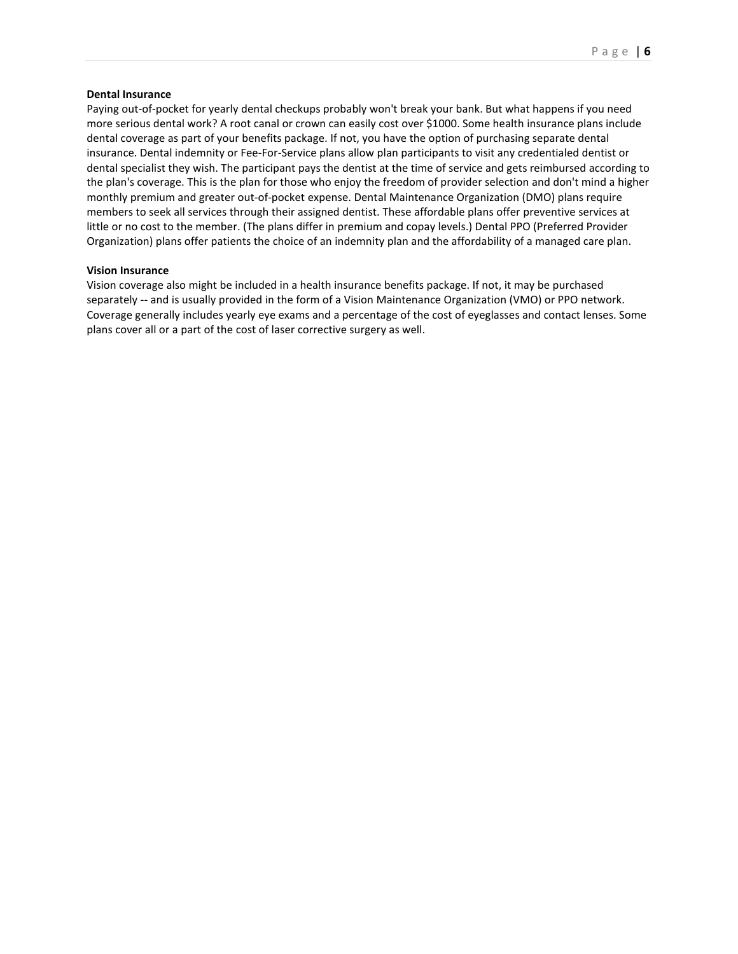#### **Dental Insurance**

Paying out-of-pocket for yearly dental checkups probably won't break your bank. But what happens if you need more serious dental work? A root canal or crown can easily cost over \$1000. Some health insurance plans include dental coverage as part of your benefits package. If not, you have the option of purchasing separate dental insurance. Dental indemnity or Fee-For-Service plans allow plan participants to visit any credentialed dentist or dental specialist they wish. The participant pays the dentist at the time of service and gets reimbursed according to the plan's coverage. This is the plan for those who enjoy the freedom of provider selection and don't mind a higher monthly premium and greater out-of-pocket expense. Dental Maintenance Organization (DMO) plans require members to seek all services through their assigned dentist. These affordable plans offer preventive services at little or no cost to the member. (The plans differ in premium and copay levels.) Dental PPO (Preferred Provider Organization) plans offer patients the choice of an indemnity plan and the affordability of a managed care plan.

#### **Vision Insurance**

Vision coverage also might be included in a health insurance benefits package. If not, it may be purchased separately -- and is usually provided in the form of a Vision Maintenance Organization (VMO) or PPO network. Coverage generally includes yearly eye exams and a percentage of the cost of eyeglasses and contact lenses. Some plans cover all or a part of the cost of laser corrective surgery as well.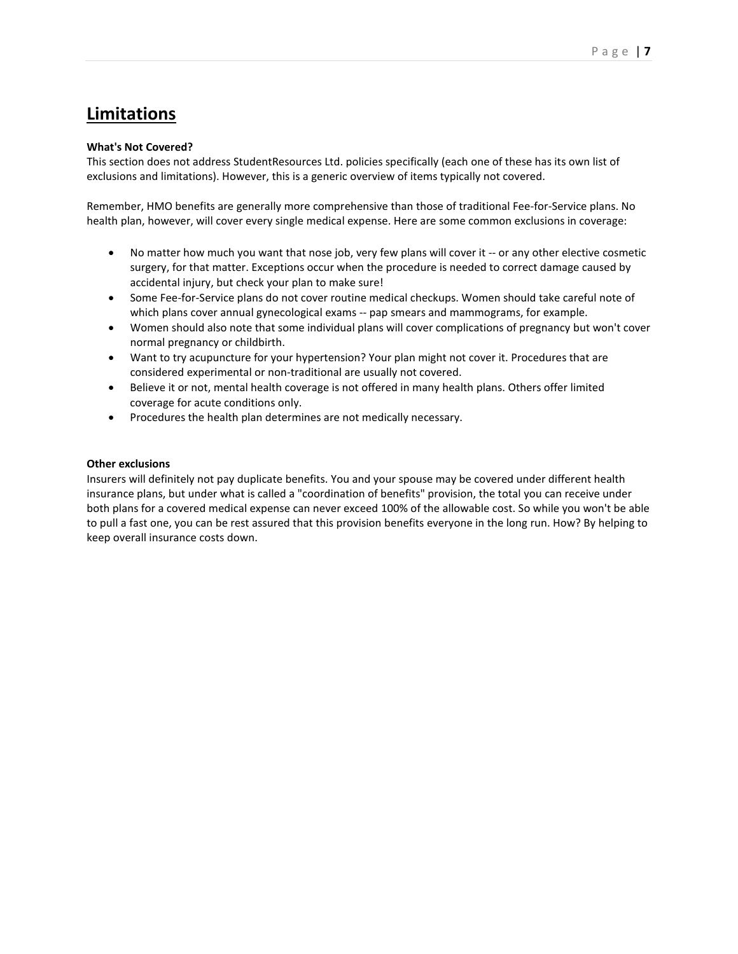# **Limitations**

### **What's Not Covered?**

This section does not address StudentResources Ltd. policies specifically (each one of these has its own list of exclusions and limitations). However, this is a generic overview of items typically not covered.

Remember, HMO benefits are generally more comprehensive than those of traditional Fee-for-Service plans. No health plan, however, will cover every single medical expense. Here are some common exclusions in coverage:

- No matter how much you want that nose job, very few plans will cover it -- or any other elective cosmetic surgery, for that matter. Exceptions occur when the procedure is needed to correct damage caused by accidental injury, but check your plan to make sure!
- Some Fee-for-Service plans do not cover routine medical checkups. Women should take careful note of which plans cover annual gynecological exams -- pap smears and mammograms, for example.
- Women should also note that some individual plans will cover complications of pregnancy but won't cover normal pregnancy or childbirth.
- Want to try acupuncture for your hypertension? Your plan might not cover it. Procedures that are considered experimental or non-traditional are usually not covered.
- Believe it or not, mental health coverage is not offered in many health plans. Others offer limited coverage for acute conditions only.
- Procedures the health plan determines are not medically necessary.

### **Other exclusions**

Insurers will definitely not pay duplicate benefits. You and your spouse may be covered under different health insurance plans, but under what is called a "coordination of benefits" provision, the total you can receive under both plans for a covered medical expense can never exceed 100% of the allowable cost. So while you won't be able to pull a fast one, you can be rest assured that this provision benefits everyone in the long run. How? By helping to keep overall insurance costs down.